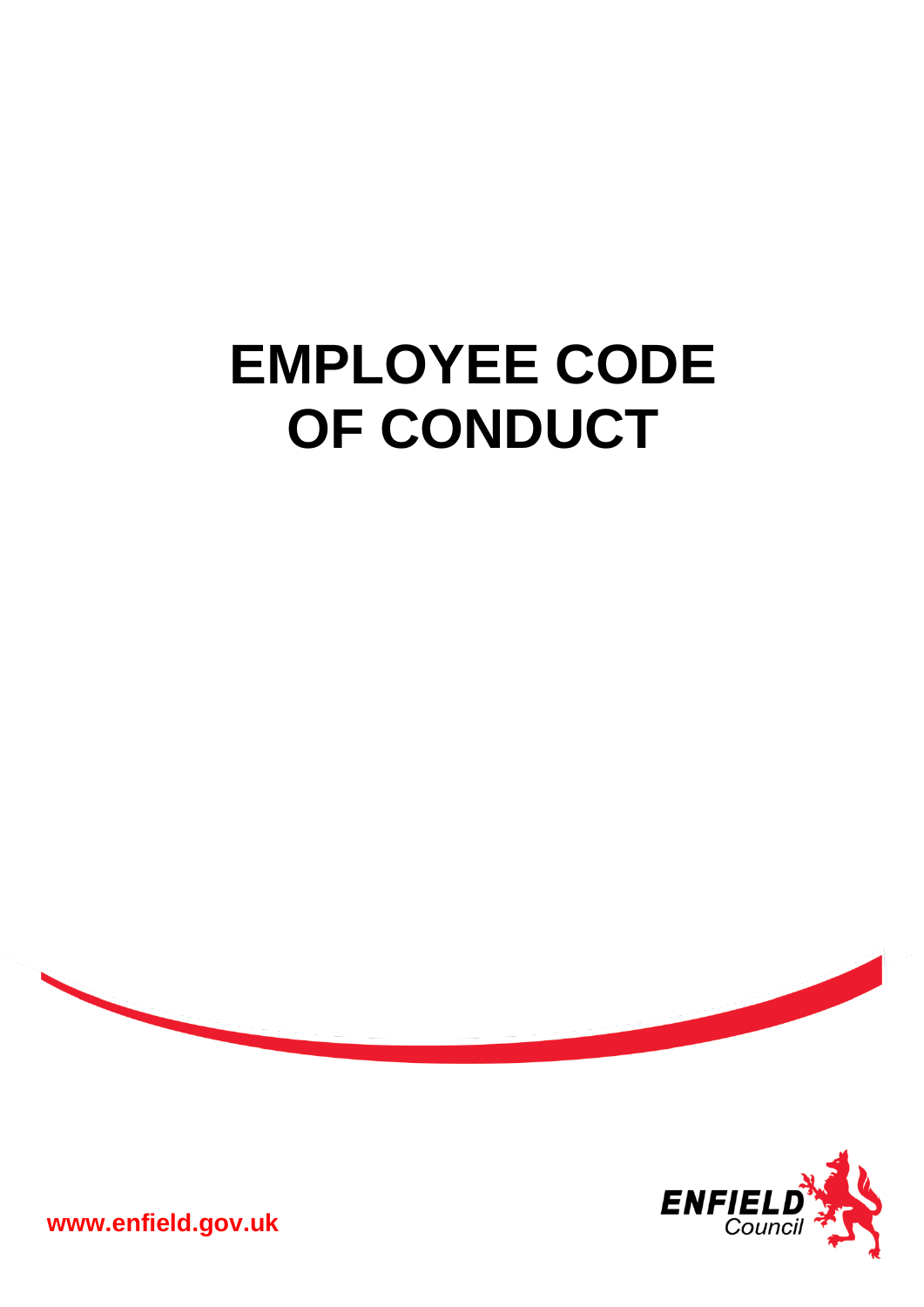# **EMPLOYEE CODE OF CONDUCT**





**www.enfield.gov.uk**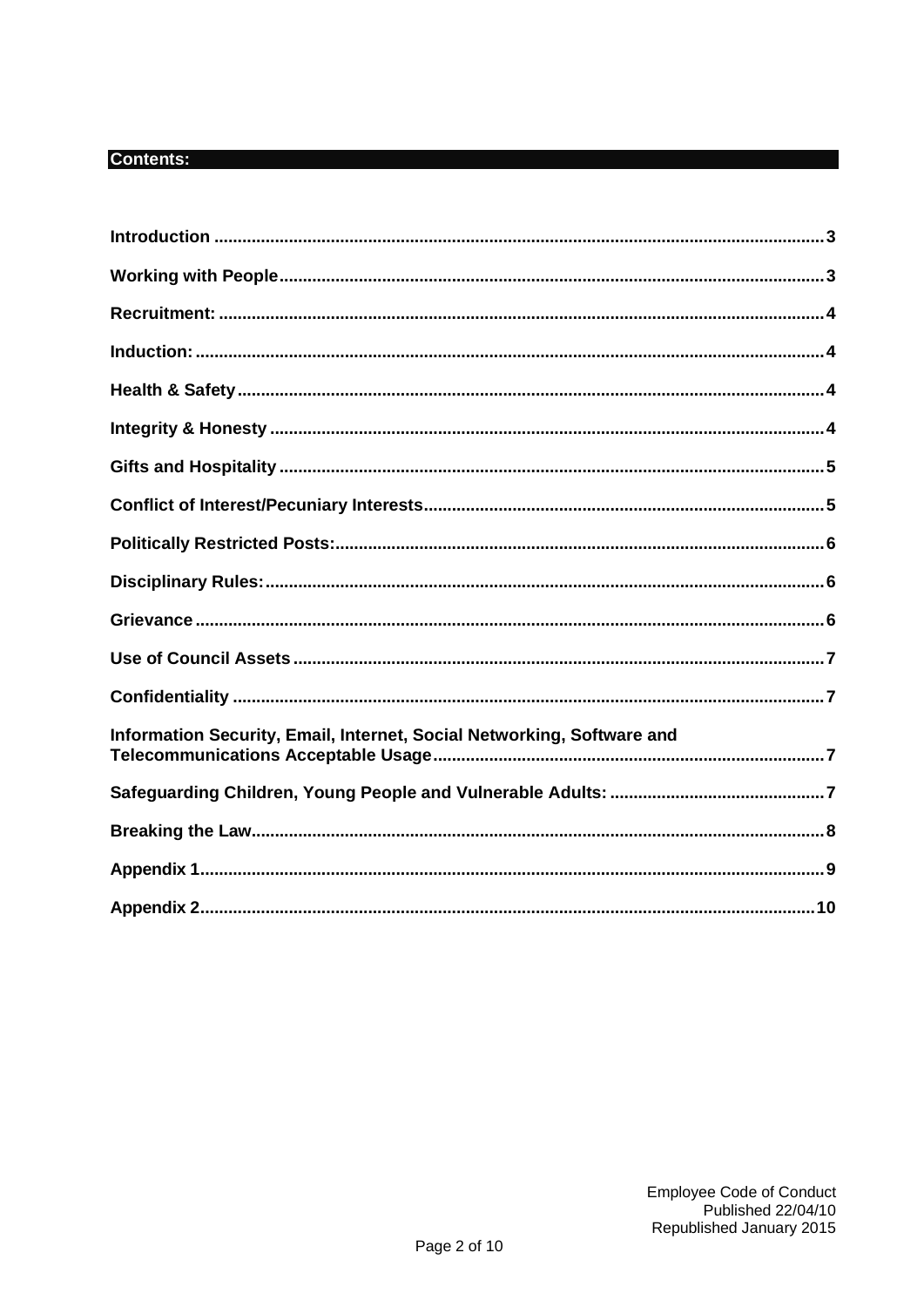## **Contents:**

| Information Security, Email, Internet, Social Networking, Software and |
|------------------------------------------------------------------------|
|                                                                        |
|                                                                        |
|                                                                        |
|                                                                        |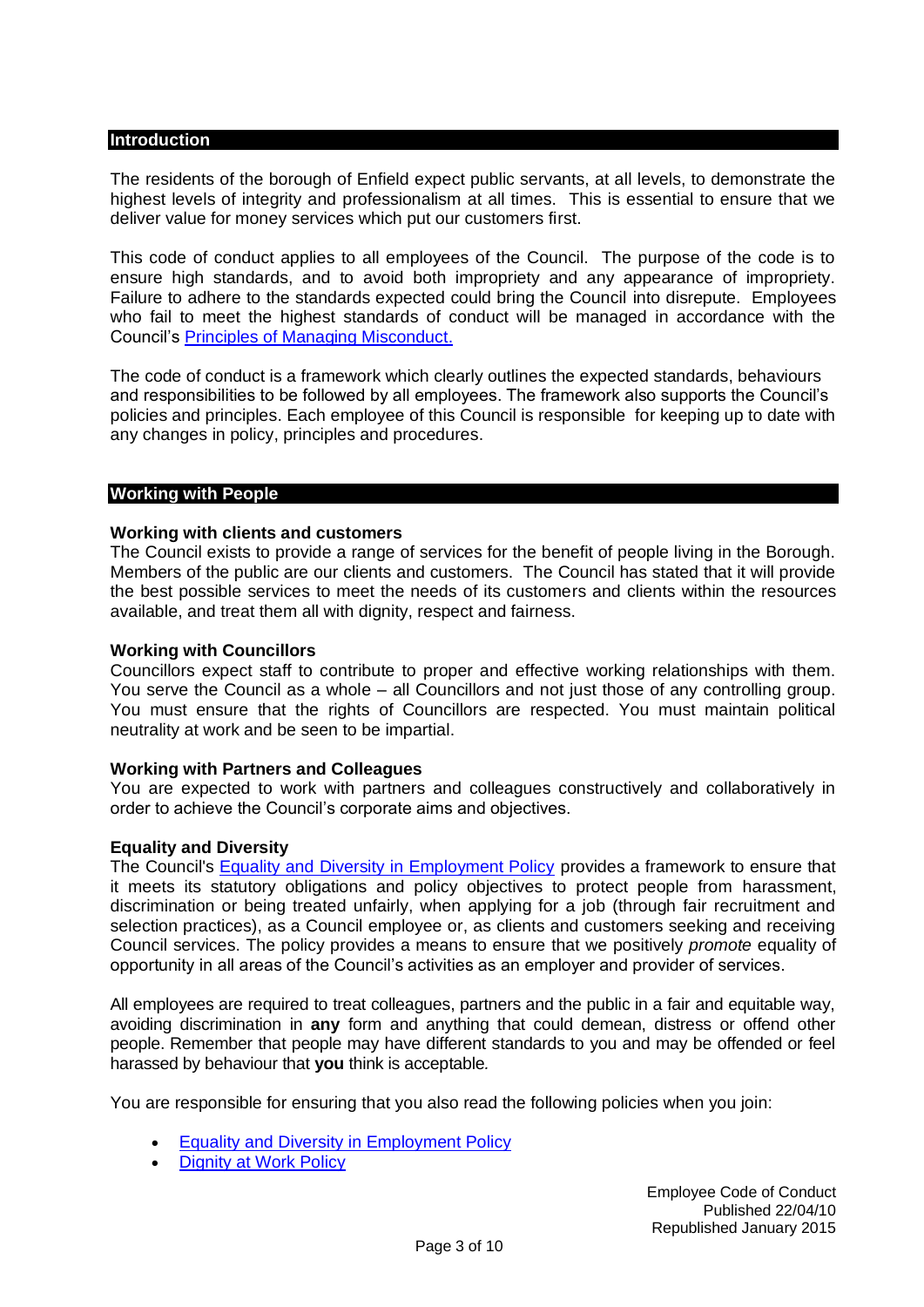## <span id="page-2-0"></span>**Introduction**

The residents of the borough of Enfield expect public servants, at all levels, to demonstrate the highest levels of integrity and professionalism at all times. This is essential to ensure that we deliver value for money services which put our customers first.

This code of conduct applies to all employees of the Council. The purpose of the code is to ensure high standards, and to avoid both impropriety and any appearance of impropriety. Failure to adhere to the standards expected could bring the Council into disrepute. Employees who fail to meet the highest standards of conduct will be managed in accordance with the Council's [Principles of Managing Misconduct.](http://enfieldeye/downloads/file/7393/principles_of_managing_misconduct)

The code of conduct is a framework which clearly outlines the expected standards, behaviours and responsibilities to be followed by all employees. The framework also supports the Council's policies and principles. Each employee of this Council is responsible for keeping up to date with any changes in policy, principles and procedures.

## <span id="page-2-1"></span>**Working with People**

## **Working with clients and customers**

The Council exists to provide a range of services for the benefit of people living in the Borough. Members of the public are our clients and customers. The Council has stated that it will provide the best possible services to meet the needs of its customers and clients within the resources available, and treat them all with dignity, respect and fairness.

## **Working with Councillors**

Councillors expect staff to contribute to proper and effective working relationships with them. You serve the Council as a whole – all Councillors and not just those of any controlling group. You must ensure that the rights of Councillors are respected. You must maintain political neutrality at work and be seen to be impartial.

## **Working with Partners and Colleagues**

You are expected to work with partners and colleagues constructively and collaboratively in order to achieve the Council's corporate aims and objectives.

## **Equality and Diversity**

The Council's [Equality and Diversity in Employment Policy](http://enfieldeye/downloads/file/5302/equality_and_diversity_in_employment_policy) provides a framework to ensure that it meets its statutory obligations and policy objectives to protect people from harassment, discrimination or being treated unfairly, when applying for a job (through fair recruitment and selection practices), as a Council employee or, as clients and customers seeking and receiving Council services. The policy provides a means to ensure that we positively *promote* equality of opportunity in all areas of the Council's activities as an employer and provider of services.

All employees are required to treat colleagues, partners and the public in a fair and equitable way, avoiding discrimination in **any** form and anything that could demean, distress or offend other people. Remember that people may have different standards to you and may be offended or feel harassed by behaviour that **you** think is acceptable*.*

You are responsible for ensuring that you also read the following policies when you join:

- [Equality and Diversity in Employment Policy](http://enfieldeye/downloads/file/5302/equality_and_diversity_in_employment_policy)
- **[Dignity at Work Policy](http://enfieldeye/downloads/file/5541/dignity_at_work_principles)**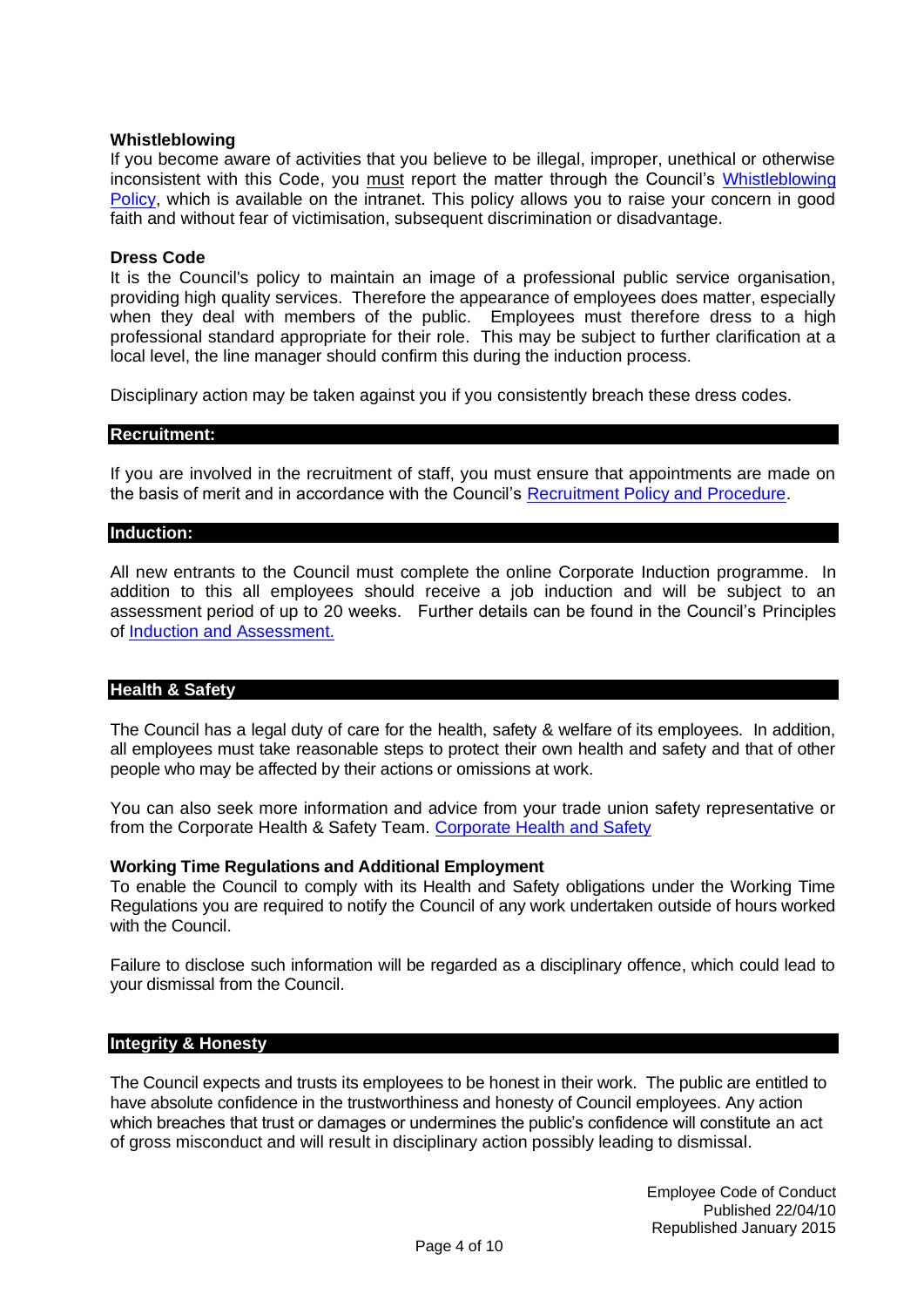## **Whistleblowing**

If you become aware of activities that you believe to be illegal, improper, unethical or otherwise inconsistent with this Code, you must report the matter through the Council's [Whistleblowing](http://enfieldeye/downloads/file/5633/whistleblowing_policy)  [Policy,](http://enfieldeye/downloads/file/5633/whistleblowing_policy) which is available on the intranet. This policy allows you to raise your concern in good faith and without fear of victimisation, subsequent discrimination or disadvantage.

## **Dress Code**

It is the Council's policy to maintain an image of a professional public service organisation, providing high quality services. Therefore the appearance of employees does matter, especially when they deal with members of the public. Employees must therefore dress to a high professional standard appropriate for their role. This may be subject to further clarification at a local level, the line manager should confirm this during the induction process.

Disciplinary action may be taken against you if you consistently breach these dress codes.

## <span id="page-3-0"></span>**Recruitment:**

If you are involved in the recruitment of staff, you must ensure that appointments are made on the basis of merit and in accordance with the Council's [Recruitment Policy and Procedure.](http://enfieldeye/downloads/file/5662/recruitment_policy_and_procedure)

## <span id="page-3-1"></span>**Induction:**

All new entrants to the Council must complete the online Corporate Induction programme. In addition to this all employees should receive a job induction and will be subject to an assessment period of up to 20 weeks. Further details can be found in the Council's Principles of [Induction and Assessment.](http://enfieldeye/downloads/file/7130/principles_of_induction_and_assessment)

## <span id="page-3-2"></span>**Health & Safety**

The Council has a legal duty of care for the health, safety & welfare of its employees. In addition, all employees must take reasonable steps to protect their own health and safety and that of other people who may be affected by their actions or omissions at work.

You can also seek more information and advice from your trade union safety representative or from the Corporate Health & Safety Team. [Corporate Health and Safety](http://enfieldeye/info/200221/Health_and_Safety)

## **Working Time Regulations and Additional Employment**

To enable the Council to comply with its Health and Safety obligations under the Working Time Regulations you are required to notify the Council of any work undertaken outside of hours worked with the Council.

Failure to disclose such information will be regarded as a disciplinary offence, which could lead to your dismissal from the Council.

## <span id="page-3-3"></span>**Integrity & Honesty**

The Council expects and trusts its employees to be honest in their work. The public are entitled to have absolute confidence in the trustworthiness and honesty of Council employees. Any action which breaches that trust or damages or undermines the public's confidence will constitute an act of gross misconduct and will result in disciplinary action possibly leading to dismissal.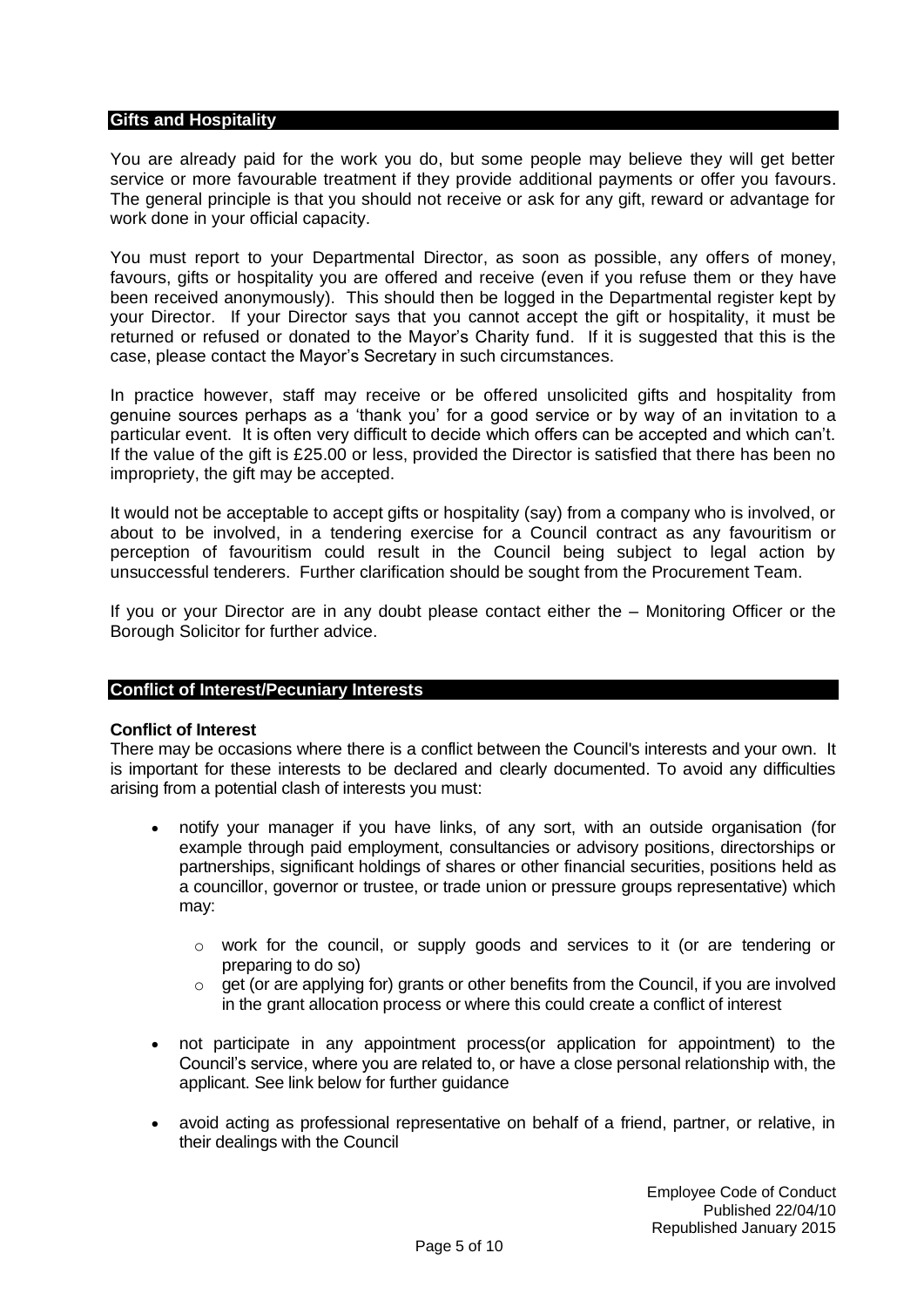## <span id="page-4-0"></span>**Gifts and Hospitality**

You are already paid for the work you do, but some people may believe they will get better service or more favourable treatment if they provide additional payments or offer you favours. The general principle is that you should not receive or ask for any gift, reward or advantage for work done in your official capacity.

You must report to your Departmental Director, as soon as possible, any offers of money, favours, gifts or hospitality you are offered and receive (even if you refuse them or they have been received anonymously). This should then be logged in the Departmental register kept by your Director. If your Director says that you cannot accept the gift or hospitality, it must be returned or refused or donated to the Mayor's Charity fund. If it is suggested that this is the case, please contact the Mayor's Secretary in such circumstances.

In practice however, staff may receive or be offered unsolicited gifts and hospitality from genuine sources perhaps as a 'thank you' for a good service or by way of an invitation to a particular event. It is often very difficult to decide which offers can be accepted and which can't. If the value of the gift is £25.00 or less, provided the Director is satisfied that there has been no impropriety, the gift may be accepted.

It would not be acceptable to accept gifts or hospitality (say) from a company who is involved, or about to be involved, in a tendering exercise for a Council contract as any favouritism or perception of favouritism could result in the Council being subject to legal action by unsuccessful tenderers. Further clarification should be sought from the Procurement Team.

If you or your Director are in any doubt please contact either the – Monitoring Officer or the Borough Solicitor for further advice.

## <span id="page-4-1"></span>**Conflict of Interest/Pecuniary Interests**

## **Conflict of Interest**

There may be occasions where there is a conflict between the Council's interests and your own. It is important for these interests to be declared and clearly documented. To avoid any difficulties arising from a potential clash of interests you must:

- notify your manager if you have links, of any sort, with an outside organisation (for example through paid employment, consultancies or advisory positions, directorships or partnerships, significant holdings of shares or other financial securities, positions held as a councillor, governor or trustee, or trade union or pressure groups representative) which may:
	- $\circ$  work for the council, or supply goods and services to it (or are tendering or preparing to do so)
	- $\circ$  get (or are applying for) grants or other benefits from the Council, if you are involved in the grant allocation process or where this could create a conflict of interest
- not participate in any appointment process(or application for appointment) to the Council's service, where you are related to, or have a close personal relationship with, the applicant. See link below for further guidance
- avoid acting as professional representative on behalf of a friend, partner, or relative, in their dealings with the Council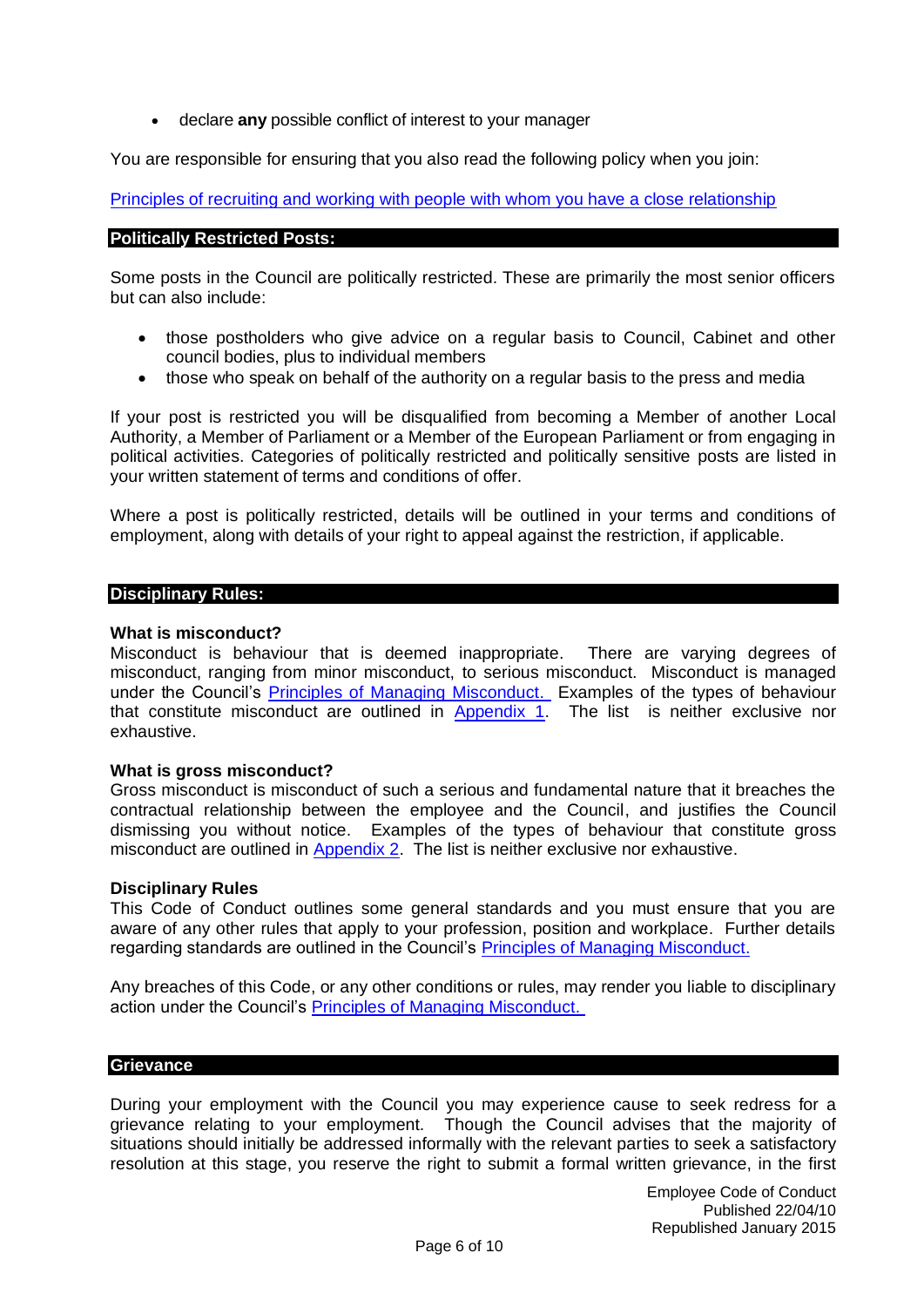• declare **any** possible conflict of interest to your manager

You are responsible for ensuring that you also read the following policy when you join:

[Principles of recruiting and working with people with whom you have a close relationship](http://enfieldeye.enfield.gov.uk/downloads/file/8187/principles_of_recruiting_and_working_with_people_with_whom_you_have_a_close_relationship)

#### <span id="page-5-0"></span>**Politically Restricted Posts:**

Some posts in the Council are politically restricted. These are primarily the most senior officers but can also include:

- those postholders who give advice on a regular basis to Council, Cabinet and other council bodies, plus to individual members
- those who speak on behalf of the authority on a regular basis to the press and media

If your post is restricted you will be disqualified from becoming a Member of another Local Authority, a Member of Parliament or a Member of the European Parliament or from engaging in political activities. Categories of politically restricted and politically sensitive posts are listed in your written statement of terms and conditions of offer.

Where a post is politically restricted, details will be outlined in your terms and conditions of employment, along with details of your right to appeal against the restriction, if applicable.

#### <span id="page-5-1"></span>**Disciplinary Rules:**

#### **What is misconduct?**

Misconduct is behaviour that is deemed inappropriate. There are varying degrees of misconduct, ranging from minor misconduct, to serious misconduct. Misconduct is managed under the Council's **Principles of Managing Misconduct.** Examples of the types of behaviour that constitute misconduct are outlined in [Appendix 1.](#page-8-1) The list is neither exclusive nor exhaustive.

#### **What is gross misconduct?**

Gross misconduct is misconduct of such a serious and fundamental nature that it breaches the contractual relationship between the employee and the Council, and justifies the Council dismissing you without notice. Examples of the types of behaviour that constitute gross misconduct are outlined in [Appendix 2.](#page-9-0) The list is neither exclusive nor exhaustive.

#### **Disciplinary Rules**

This Code of Conduct outlines some general standards and you must ensure that you are aware of any other rules that apply to your profession, position and workplace. Further details regarding standards are outlined in the Council's [Principles of Managing Misconduct.](http://enfieldeye/downloads/file/7393/principles_of_managing_misconduct)

Any breaches of this Code, or any other conditions or rules, may render you liable to disciplinary action under the Council's [Principles of Managing Misconduct.](http://enfieldeye/downloads/file/7393/principles_of_managing_misconduct) 

## <span id="page-5-2"></span>**Grievance**

During your employment with the Council you may experience cause to seek redress for a grievance relating to your employment. Though the Council advises that the majority of situations should initially be addressed informally with the relevant parties to seek a satisfactory resolution at this stage, you reserve the right to submit a formal written grievance, in the first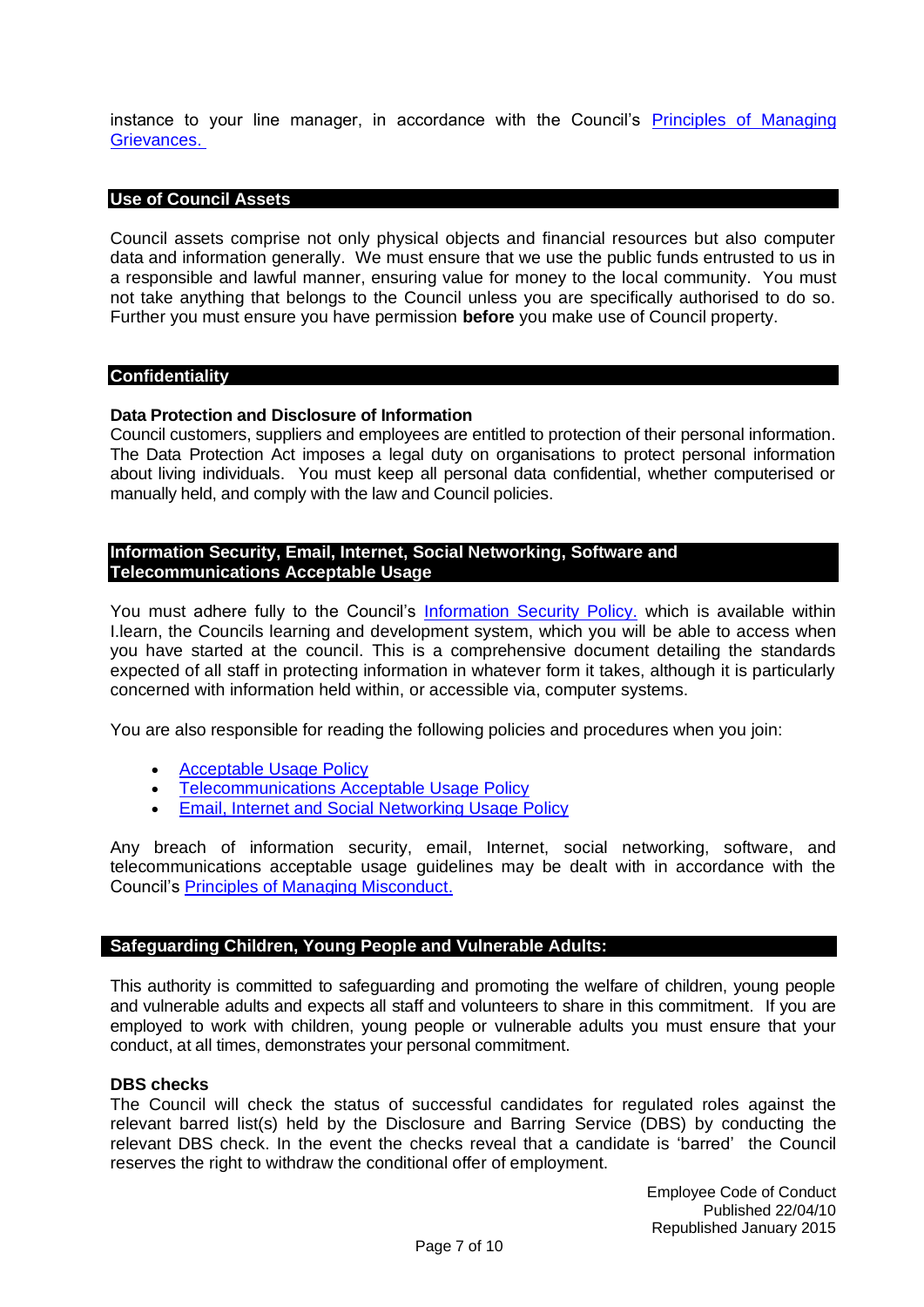instance to your line manager, in accordance with the Council's [Principles of Managing](http://enfieldeye/downloads/file/7399/principles_of_managing_grievances)  [Grievances.](http://enfieldeye/downloads/file/7399/principles_of_managing_grievances) 

## <span id="page-6-0"></span>**Use of Council Assets**

Council assets comprise not only physical objects and financial resources but also computer data and information generally. We must ensure that we use the public funds entrusted to us in a responsible and lawful manner, ensuring value for money to the local community. You must not take anything that belongs to the Council unless you are specifically authorised to do so. Further you must ensure you have permission **before** you make use of Council property.

## <span id="page-6-1"></span>**Confidentiality**

#### **Data Protection and Disclosure of Information**

Council customers, suppliers and employees are entitled to protection of their personal information. The Data Protection Act imposes a legal duty on organisations to protect personal information about living individuals. You must keep all personal data confidential, whether computerised or manually held, and comply with the law and Council policies.

## <span id="page-6-2"></span>**Information Security, Email, Internet, Social Networking, Software and Telecommunications Acceptable Usage**

You must adhere fully to the Council's [Information Security Policy.](http://enfieldeye/downloads/file/5461/information_security_policy_document) which is available within I.learn, the Councils learning and development system, which you will be able to access when you have started at the council. This is a comprehensive document detailing the standards expected of all staff in protecting information in whatever form it takes, although it is particularly concerned with information held within, or accessible via, computer systems.

You are also responsible for reading the following policies and procedures when you join:

- [Acceptable Usage Policy](http://enfieldeye/downloads/file/5448/acceptable_use_policy)
- [Telecommunications Acceptable Usage Policy](http://enfieldeye/downloads/file/10093/telecommunications_acceptable_usage_policy)
- [Email, Internet and Social](http://enfieldeye/downloads/file/5544/email_internet_and_social_networking_usage_policy) Networking Usage Policy

Any breach of information security, email, Internet, social networking, software, and telecommunications acceptable usage guidelines may be dealt with in accordance with the Council's [Principles of Managing Misconduct.](http://enfieldeye/downloads/file/7393/principles_of_managing_misconduct)

## <span id="page-6-3"></span>**Safeguarding Children, Young People and Vulnerable Adults:**

This authority is committed to safeguarding and promoting the welfare of children, young people and vulnerable adults and expects all staff and volunteers to share in this commitment. If you are employed to work with children, young people or vulnerable adults you must ensure that your conduct, at all times, demonstrates your personal commitment.

## **DBS checks**

The Council will check the status of successful candidates for regulated roles against the relevant barred list(s) held by the Disclosure and Barring Service (DBS) by conducting the relevant DBS check. In the event the checks reveal that a candidate is 'barred' the Council reserves the right to withdraw the conditional offer of employment.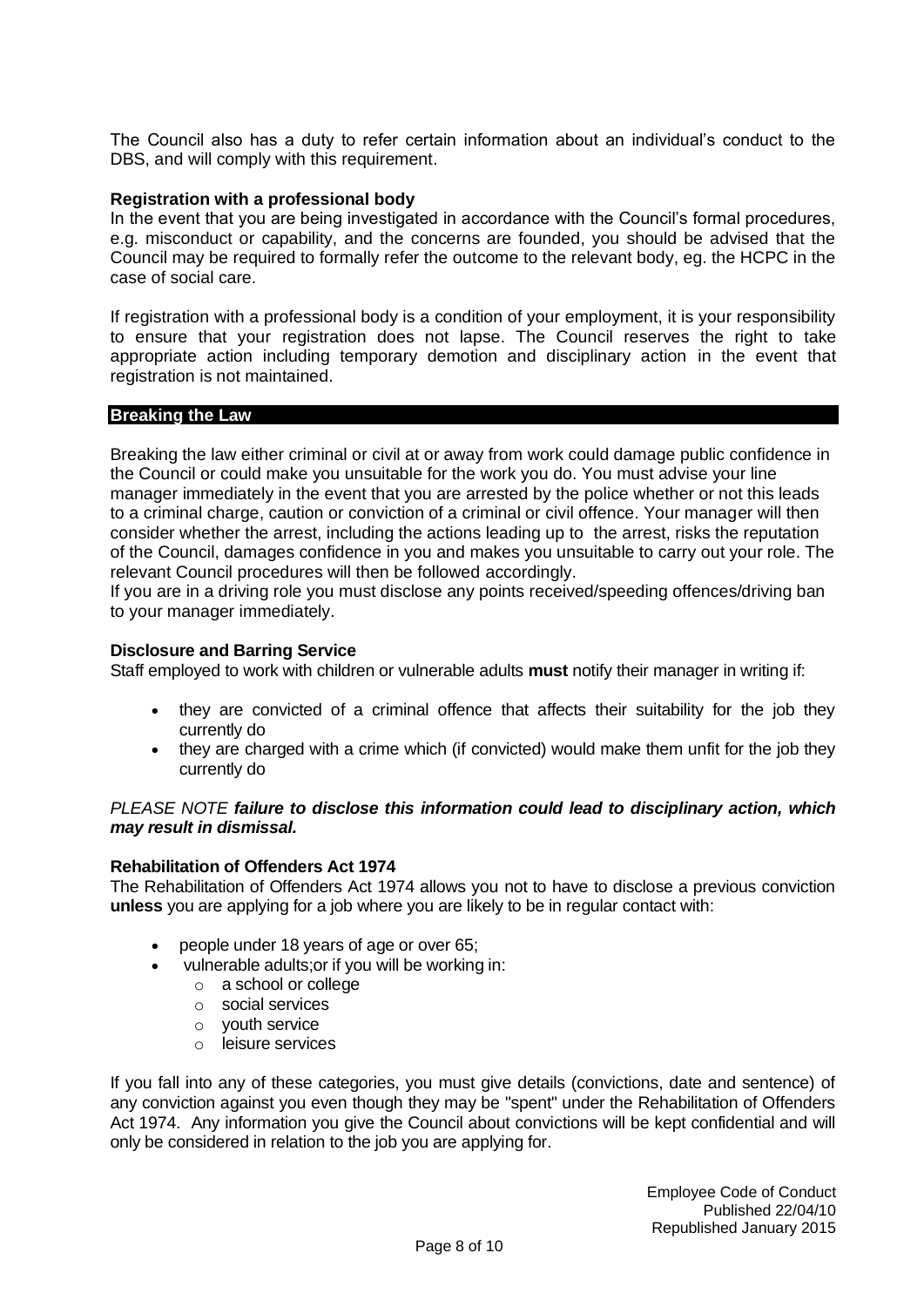The Council also has a duty to refer certain information about an individual's conduct to the DBS, and will comply with this requirement.

## **Registration with a professional body**

In the event that you are being investigated in accordance with the Council's formal procedures, e.g. misconduct or capability, and the concerns are founded, you should be advised that the Council may be required to formally refer the outcome to the relevant body, eg. the HCPC in the case of social care.

If registration with a professional body is a condition of your employment, it is your responsibility to ensure that your registration does not lapse. The Council reserves the right to take appropriate action including temporary demotion and disciplinary action in the event that registration is not maintained.

## <span id="page-7-0"></span>**Breaking the Law**

Breaking the law either criminal or civil at or away from work could damage public confidence in the Council or could make you unsuitable for the work you do. You must advise your line manager immediately in the event that you are arrested by the police whether or not this leads to a criminal charge, caution or conviction of a criminal or civil offence. Your manager will then consider whether the arrest, including the actions leading up to the arrest, risks the reputation of the Council, damages confidence in you and makes you unsuitable to carry out your role. The relevant Council procedures will then be followed accordingly.

If you are in a driving role you must disclose any points received/speeding offences/driving ban to your manager immediately.

## **Disclosure and Barring Service**

Staff employed to work with children or vulnerable adults **must** notify their manager in writing if:

- they are convicted of a criminal offence that affects their suitability for the job they currently do
- they are charged with a crime which (if convicted) would make them unfit for the job they currently do

## *PLEASE NOTE failure to disclose this information could lead to disciplinary action, which may result in dismissal.*

## **Rehabilitation of Offenders Act 1974**

The Rehabilitation of Offenders Act 1974 allows you not to have to disclose a previous conviction **unless** you are applying for a job where you are likely to be in regular contact with:

- people under 18 years of age or over 65;
- vulnerable adults; or if you will be working in:
	- o a school or college
	- o social services
	- o youth service
	- o leisure services

If you fall into any of these categories, you must give details (convictions, date and sentence) of any conviction against you even though they may be "spent" under the Rehabilitation of Offenders Act 1974. Any information you give the Council about convictions will be kept confidential and will only be considered in relation to the job you are applying for.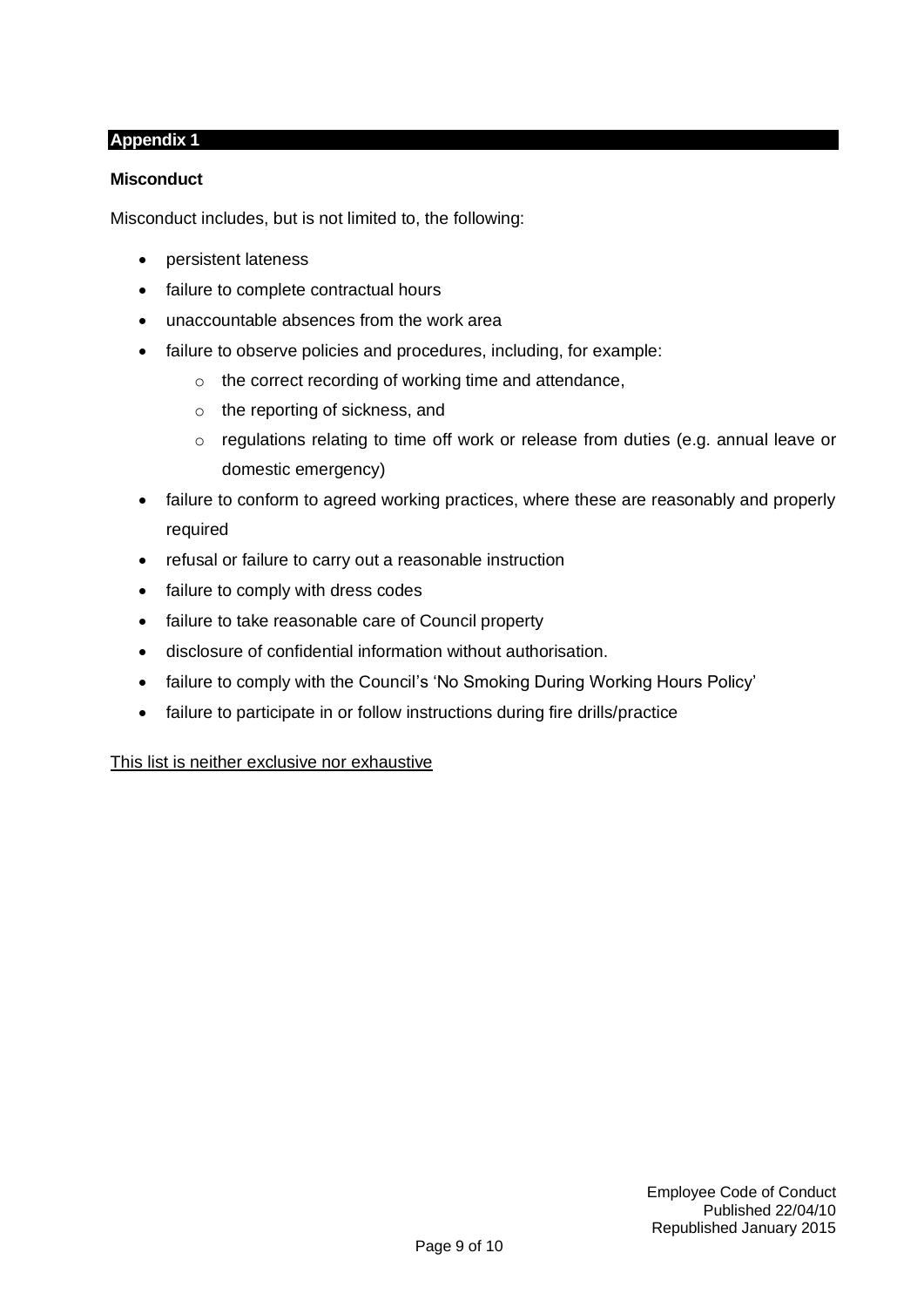## <span id="page-8-1"></span><span id="page-8-0"></span>**Appendix 1**

## **Misconduct**

Misconduct includes, but is not limited to, the following:

- persistent lateness
- failure to complete contractual hours
- unaccountable absences from the work area
- failure to observe policies and procedures, including, for example:
	- o the correct recording of working time and attendance,
	- o the reporting of sickness, and
	- o regulations relating to time off work or release from duties (e.g. annual leave or domestic emergency)
- failure to conform to agreed working practices, where these are reasonably and properly required
- refusal or failure to carry out a reasonable instruction
- failure to comply with dress codes
- failure to take reasonable care of Council property
- disclosure of confidential information without authorisation.
- failure to comply with the Council's 'No Smoking During Working Hours Policy'
- failure to participate in or follow instructions during fire drills/practice

## This list is neither exclusive nor exhaustive